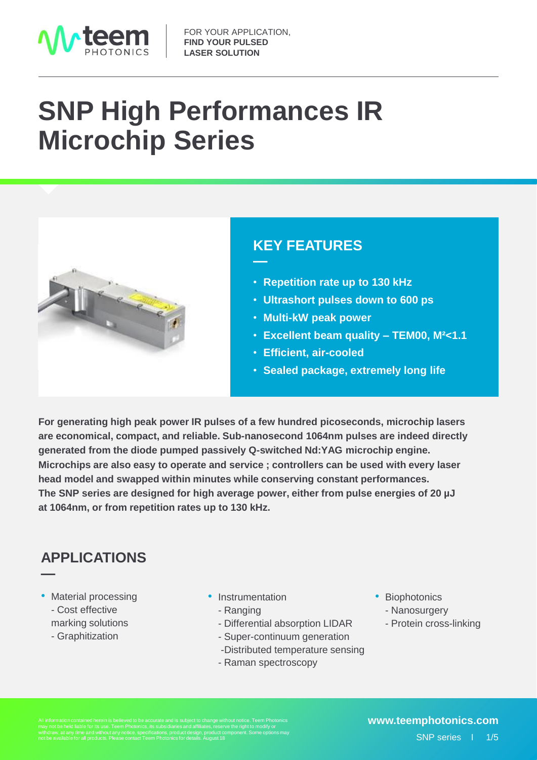

# **SNP High Performances IR Microchip Series**



### •**KEY FEATURES**

- **Repetition rate up to 130 kHz**
- **Ultrashort pulses down to 600 ps**
- **Multi-kW peak power**
- **Excellent beam quality – TEM00, M²<1.1**
- **Efficient, air-cooled**
- **Sealed package, extremely long life**

**For generating high peak power IR pulses of a few hundred picoseconds, microchip lasers are economical, compact, and reliable. Sub-nanosecond 1064nm pulses are indeed directly generated from the diode pumped passively Q-switched Nd:YAG microchip engine. Microchips are also easy to operate and service ; controllers can be used with every laser head model and swapped within minutes while conserving constant performances. The SNP series are designed for high average power, either from pulse energies of 20 µJ at 1064nm, or from repetition rates up to 130 kHz.**

**—**

### •**APPLICATIONS —**

- Material processing - Cost effective marking solutions
	- Graphitization
- Instrumentation
	- Ranging
	- Differential absorption LIDAR
	- Super-continuum generation
	- -Distributed temperature sensing
	- Raman spectroscopy
- Biophotonics
	- Nanosurgery
	- Protein cross-linking

withdraw, at any time and without any notice, specifications, product design, product component. Some options may not be available for all products. Please contact Teem Photonics for details. August 18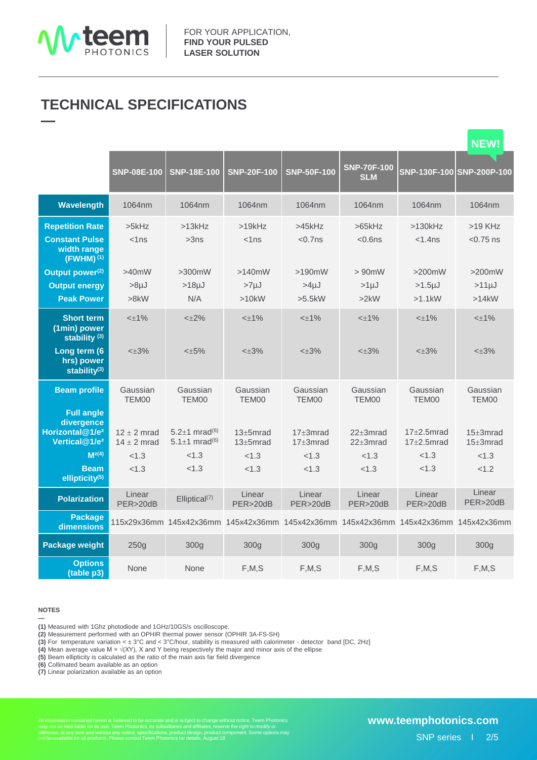

### •**TECHNICAL SPECIFICATIONS —**

|                                                                                  |                                    |                                                                |                                                                                     |                                    |                                   |                                        | <b>NEW!</b>                       |
|----------------------------------------------------------------------------------|------------------------------------|----------------------------------------------------------------|-------------------------------------------------------------------------------------|------------------------------------|-----------------------------------|----------------------------------------|-----------------------------------|
|                                                                                  | <b>SNP-08E-100</b>                 | <b>SNP-18E-100</b>                                             | <b>SNP-20F-100</b>                                                                  | <b>SNP-50F-100</b>                 | <b>SNP-70F-100</b><br><b>SLM</b>  | SNP-130F-100 SNP-200P-100              |                                   |
| Wavelength                                                                       | 1064nm                             | 1064nm                                                         | 1064nm                                                                              | 1064nm                             | 1064nm                            | 1064nm                                 | 1064nm                            |
| <b>Repetition Rate</b><br><b>Constant Pulse</b><br>width range<br>$(FWHM)^{(1)}$ | $>5$ kHz<br>$<$ 1 ns               | >13kHz<br>>3ns                                                 | >19kHz<br>$<$ 1 $ns$                                                                | $>45$ kHz<br>$< 0.7$ ns            | $>65$ kHz<br>$< 0.6$ ns           | $>130$ kHz<br>$<$ 1.4 $ns$             | $>19$ KHz<br>$< 0.75$ ns          |
| Output power <sup>(2)</sup><br><b>Output energy</b><br><b>Peak Power</b>         | $>40$ mW<br>$>8\mu$ J<br>>8kW      | $>300$ mW<br>$>18\mu J$<br>N/A                                 | >140mW<br>>7 <sub>µJ</sub><br>>10kW                                                 | $>190$ mW<br>$>4 \mu J$<br>>5.5kW  | $> 90$ mW<br>$>1 \mu J$<br>>2kW   | $>200$ mW<br>$>1.5 \mu J$<br>$>1.1$ kW | $>200$ mW<br>$>11 \mu J$<br>>14kW |
| <b>Short term</b><br>(1min) power<br>stability $(3)$                             | $<\pm$ 1%                          | $<\pm 2\%$                                                     | $<\pm$ 1%                                                                           | $<\pm 1\%$                         | $< +1\%$                          | $<\pm 1\%$                             | $<\pm 1\%$                        |
| Long term (6<br>hrs) power<br>stability $(3)$                                    | $< \pm 3\%$                        | $<\pm 5\%$                                                     | $< \pm 3\%$                                                                         | $< \pm 3\%$                        | $< +3%$                           | $< \pm 3\%$                            | $<\pm 3\%$                        |
| <b>Beam profile</b><br><b>Full angle</b>                                         | Gaussian<br>TEM00                  | Gaussian<br>TEM00                                              | Gaussian<br>TEM00                                                                   | Gaussian<br>TEM00                  | Gaussian<br>TEM00                 | Gaussian<br>TEM00                      | Gaussian<br>TEM00                 |
| divergence<br>Horizontal@1/e <sup>2</sup><br>Vertical@1/e <sup>2</sup>           | $12 \pm 2$ mrad<br>$14 \pm 2$ mrad | $5.2+1$ mrad <sup>(6)</sup><br>5.1 $\pm$ 1 mrad <sup>(6)</sup> | $13 \pm 5$ mrad<br>$13 \pm 5$ mrad                                                  | $17 \pm 3$ mrad<br>$17 \pm 3$ mrad | $22 \pm 3$ mrad<br>$22\pm 3$ mrad | $17+2.5$ mrad<br>$17+2.5$ mrad         | $15 \pm 3$ mrad<br>$15+3mrad$     |
| $M^{2(4)}$                                                                       | < 1.3                              | < 1.3                                                          | < 1.3                                                                               | < 1.3                              | < 1.3                             | < 1.3                                  | < 1.3                             |
| <b>Beam</b><br>ellipticity <sup>(5)</sup>                                        | < 1.3                              | < 1.3                                                          | < 1.3                                                                               | < 1.3                              | < 1.3                             | < 1.3                                  | <1.2                              |
| <b>Polarization</b>                                                              | Linear<br>PER>20dB                 | Elliptical <sup>(7)</sup>                                      | Linear<br>PER>20dB                                                                  | Linear<br>PER>20dB                 | Linear<br>PER>20dB                | Linear<br>PER>20dB                     | Linear<br>PER>20dB                |
| <b>Package</b><br>dimensions                                                     |                                    |                                                                | 115x29x36mm 145x42x36mm 145x42x36mm 145x42x36mm 145x42x36mm 145x42x36mm 145x42x36mm |                                    |                                   |                                        |                                   |
| <b>Package weight</b>                                                            | 250g                               | 300 <sub>g</sub>                                               | 300g                                                                                | 300g                               | 300 <sub>g</sub>                  | 300g                                   | 300q                              |
| <b>Options</b><br>(table p3)                                                     | None                               | None                                                           | F, M, S                                                                             | F, M, S                            | F, M, S                           | F, M, S                                | F, M, S                           |

### **NOTES**

**—**

**(1)** Measured with 1Ghz photodiode and 1GHz/10GS/s oscilloscope.

**(2)** Measurement performed with an OPHIR thermal power sensor (OPHIR 3A-FS-SH)

**(3)** For temperature variation < ± 3°C and < 3°C/hour, stability is measured with calorimeter - detector band [DC, 2Hz]

**(4)** Mean average value M = √(XY), X and Y being respectively the major and minor axis of the ellipse

**(5)** Beam ellipticity is calculated as the ratio of the main axis far field divergence

**(6)** Collimated beam available as an option

**(7)** Linear polarization available as an option

All information contained herein is believed to be accurate and is subject to change without notice. Teem Photonics<br>may not be held liable for its use. Teem Photonics, its subsidiaries and affiliates, reserve the right to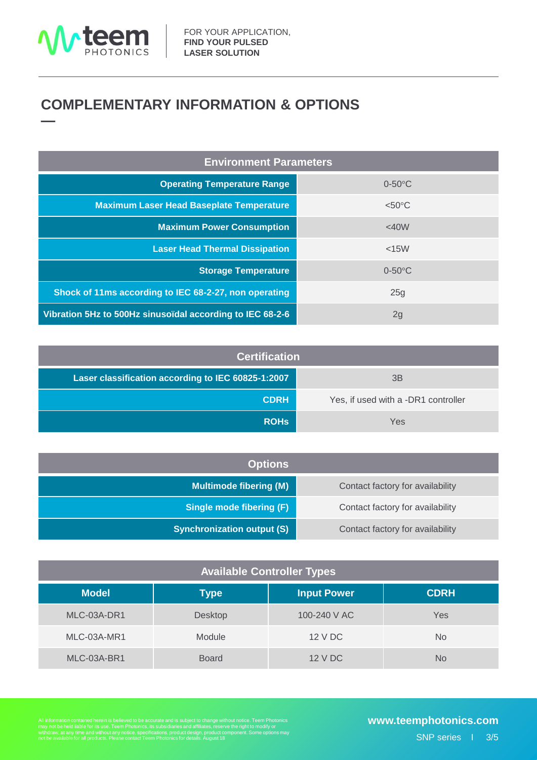

### •**COMPLEMENTARY INFORMATION & OPTIONS —**

| <b>Environment Parameters</b>                             |                  |  |  |  |
|-----------------------------------------------------------|------------------|--|--|--|
| <b>Operating Temperature Range</b>                        | $0-50$ °C        |  |  |  |
| <b>Maximum Laser Head Baseplate Temperature</b>           | $< 50^{\circ}$ C |  |  |  |
| <b>Maximum Power Consumption</b>                          | <40W             |  |  |  |
| <b>Laser Head Thermal Dissipation</b>                     | $<$ 15 $W$       |  |  |  |
| <b>Storage Temperature</b>                                | $0-50$ °C        |  |  |  |
| Shock of 11ms according to IEC 68-2-27, non operating     | 25g              |  |  |  |
| Vibration 5Hz to 500Hz sinusoïdal according to IEC 68-2-6 | 2g               |  |  |  |

| <b>Certification</b>                               |                                     |  |  |  |
|----------------------------------------------------|-------------------------------------|--|--|--|
| Laser classification according to IEC 60825-1:2007 | 3B                                  |  |  |  |
| <b>CDRH</b>                                        | Yes, if used with a -DR1 controller |  |  |  |
| <b>ROHS</b>                                        | Yes                                 |  |  |  |

| <b>Options</b>                    |                                  |
|-----------------------------------|----------------------------------|
| <b>Multimode fibering (M)</b>     | Contact factory for availability |
| <b>Single mode fibering (F)</b>   | Contact factory for availability |
| <b>Synchronization output (S)</b> | Contact factory for availability |

| <b>Available Controller Types</b> |              |                    |             |  |  |  |
|-----------------------------------|--------------|--------------------|-------------|--|--|--|
| <b>Model</b>                      | Type         | <b>Input Power</b> | <b>CDRH</b> |  |  |  |
| MLC-03A-DR1                       | Desktop      | 100-240 V AC       | Yes         |  |  |  |
| MLC-03A-MR1                       | Module       | 12 V DC            | No.         |  |  |  |
| MLC-03A-BR1                       | <b>Board</b> | 12 V DC            | No          |  |  |  |

All information contained herein is believed to be accurate and is subject to change without notice. Teem Photonics<br>may not be held liable for its use. Teem Photonics, its subsidiaries and affiliates, reserve the right to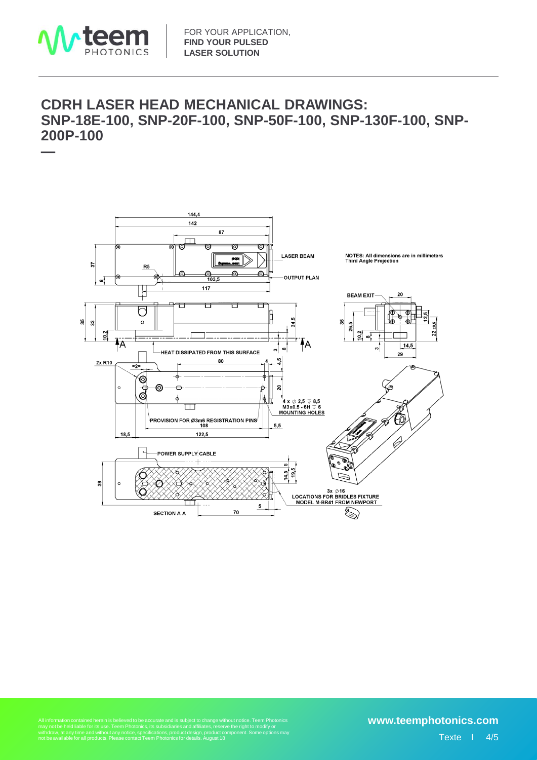

### •**CDRH LASER HEAD MECHANICAL DRAWINGS: SNP-18E-100, SNP-20F-100, SNP-50F-100, SNP-130F-100, SNP-200P-100 —**



Althout notice. Teem Photonics<br>arve the right to modify or<br>component. Some options may All information contained herein is believed to be accurate and is subject to change without notice. Teem Photonics<br>may not be held liable for its use. Teem Photonics, its subsidiaries and affiliates, reserve the right to